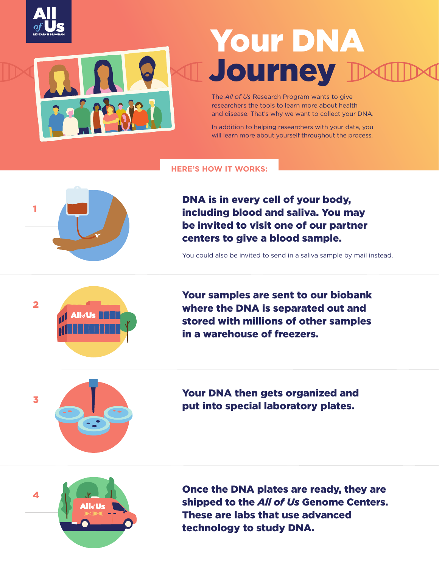

# Your DNA **Journey**

The *All of Us* Research Program wants to give researchers the tools to learn more about health and disease. That's why we want to collect your DNA.

In addition to helping researchers with your data, you will learn more about yourself throughout the process.

#### **HERE'S HOW IT WORKS:**



DNA is in every cell of your body, including blood and saliva. You may be invited to visit one of our partner centers to give a blood sample.

You could also be invited to send in a saliva sample by mail instead.



Your samples are sent to our biobank where the DNA is separated out and stored with millions of other samples in a warehouse of freezers.



Your DNA then gets organized and put into special laboratory plates.



Once the DNA plates are ready, they are shipped to the *All of Us* Genome Centers. These are labs that use advanced technology to study DNA.